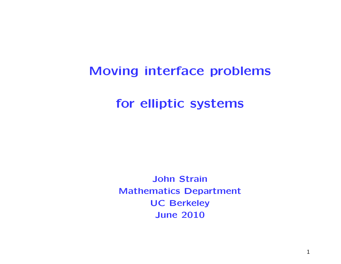# Moving interface problems

for elliptic systems

John Strain Mathematics Department UC Berkeley June 2010

1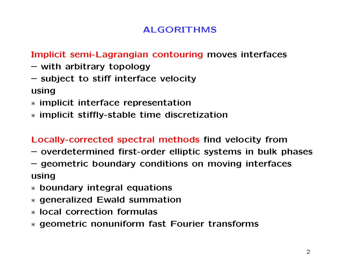# ALGORITHMS

## Implicit semi-Lagrangian contouring moves interfaces

- with arbitrary topology
- subject to stiff interface velocity

using

- ∗ implicit interface representation
- ∗ implicit stiffly-stable time discretization

Locally-corrected spectral methods find velocity from

- overdetermined first-order elliptic systems in bulk phases
- geometric boundary conditions on moving interfaces using
- ∗ boundary integral equations
- ∗ generalized Ewald summation
- ∗ local correction formulas
- ∗ geometric nonuniform fast Fourier transforms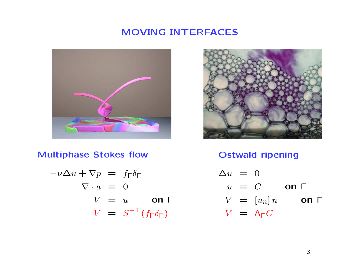## MOVING INTERFACES





Multiphase Stokes flow

$$
-\nu \Delta u + \nabla p = f_{\Gamma} \delta_{\Gamma}
$$
  
\n
$$
\nabla \cdot u = 0
$$
  
\n
$$
V = u \quad \text{on } \Gamma
$$
  
\n
$$
V = S^{-1} (f_{\Gamma} \delta_{\Gamma})
$$

Ostwald ripening

$$
\Delta u = 0
$$
  
\n
$$
u = C \text{ on } \Gamma
$$
  
\n
$$
V = [u_n]n \text{ on } \Gamma
$$
  
\n
$$
V = \Lambda_{\Gamma} C
$$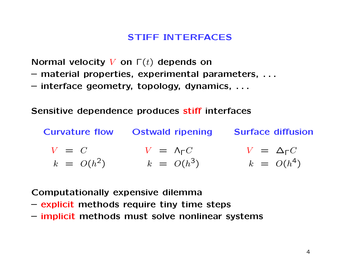## STIFF INTERFACES

Normal velocity V on  $\Gamma(t)$  depends on

- material properties, experimental parameters, . . .
- interface geometry, topology, dynamics, . . .

Sensitive dependence produces stiff interfaces

Curvature flow Ostwald ripening Surface diffusion  $V = C$  $k = O(h^2)$  $V = \Lambda_{\Gamma} C$  $k = O(h^3)$  $V = Δ<sub>Γ</sub>C$  $k = O(h^4)$ 

Computationally expensive dilemma

- explicit methods require tiny time steps
- implicit methods must solve nonlinear systems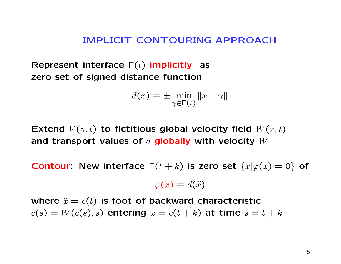#### IMPLICIT CONTOURING APPROACH

Represent interface  $\Gamma(t)$  implicitly as zero set of signed distance function

$$
d(x) = \pm \min_{\gamma \in \Gamma(t)} \|x - \gamma\|
$$

Extend  $V(\gamma, t)$  to fictitious global velocity field  $W(x, t)$ and transport values of  $d$  globally with velocity  $W$ 

Contour: New interface  $\Gamma(t+k)$  is zero set  $\{x|\varphi(x)=0\}$  of

$$
\varphi(x) = d(\tilde{x})
$$

where  $\tilde{x} = c(t)$  is foot of backward characteristic  $c(s) = W(c(s), s)$  entering  $x = c(t + k)$  at time  $s = t + k$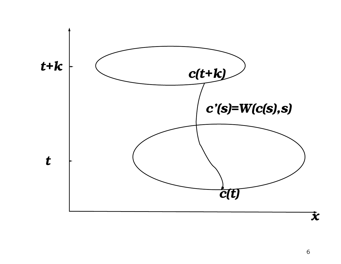

6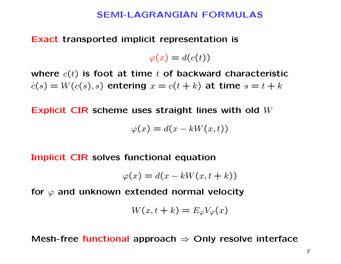#### SEMI-LAGRANGIAN FORMULAS

Exact transported implicit representation is

 $\varphi(x) = d(c(t))$ 

where  $c(t)$  is foot at time t of backward characteristic  $c(s) = W(c(s), s)$  entering  $x = c(t + k)$  at time  $s = t + k$ 

Explicit CIR scheme uses straight lines with old W

$$
\varphi(x) = d(x - kW(x, t))
$$

Implicit CIR solves functional equation

$$
\varphi(x) = d(x - kW(x, t + k))
$$

for  $\varphi$  and unknown extended normal velocity

$$
W(x, t + k) = E_{\varphi} V_{\varphi}(x)
$$

Mesh-free functional approach  $\Rightarrow$  Only resolve interface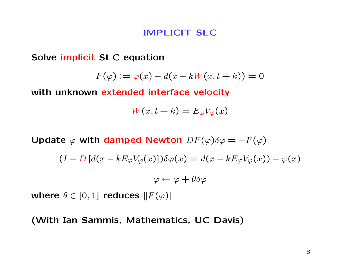#### IMPLICIT SLC

Solve implicit SLC equation

$$
F(\varphi) := \varphi(x) - d(x - kW(x, t + k)) = 0
$$

with unknown extended interface velocity

$$
W(x, t + k) = E_{\varphi} V_{\varphi}(x)
$$

Update  $\varphi$  with damped Newton  $DF(\varphi)\delta\varphi = -F(\varphi)$ 

$$
(I - D [d(x - kE_{\varphi}V_{\varphi}(x)]) \delta \varphi(x) = d(x - kE_{\varphi}V_{\varphi}(x)) - \varphi(x)
$$

$$
\varphi \leftarrow \varphi + \theta \delta \varphi
$$

where  $\theta \in [0, 1]$  reduces  $||F(\varphi)||$ 

#### (With Ian Sammis, Mathematics, UC Davis)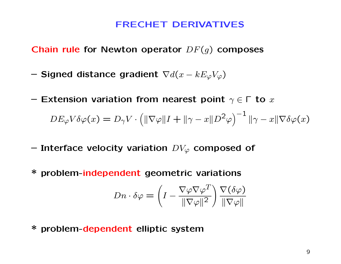#### FRECHET DERIVATIVES

Chain rule for Newton operator  $DF(g)$  composes

- Signed distance gradient  $\nabla d(x kE_{\varphi}V_{\varphi})$
- Extension variation from nearest point  $\gamma \in \Gamma$  to  $x$

$$
DE_{\varphi}V\delta\varphi(x) = D_{\gamma}V \cdot \left( \|\nabla \varphi\|I + \|\gamma - x\|D^2\varphi \right)^{-1} \|\gamma - x\|\nabla \delta\varphi(x)
$$

- Interface velocity variation  $DV_{\varphi}$  composed of
- \* problem-independent geometric variations

$$
Dn \cdot \delta \varphi = \left(I - \frac{\nabla \varphi \nabla \varphi^T}{\|\nabla \varphi\|^2}\right) \frac{\nabla(\delta \varphi)}{\|\nabla \varphi\|}
$$

\* problem-dependent elliptic system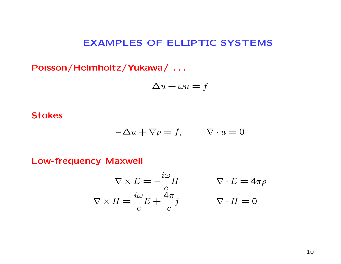## EXAMPLES OF ELLIPTIC SYSTEMS

Poisson/Helmholtz/Yukawa/ . . .

$$
\Delta u + \omega u = f
$$

#### **Stokes**

$$
-\Delta u + \nabla p = f, \qquad \nabla \cdot u = 0
$$

Low-frequency Maxwell

$$
\nabla \times E = -\frac{i\omega}{c}H \qquad \nabla \cdot E = 4\pi\rho
$$
  

$$
\nabla \times H = \frac{i\omega}{c}E + \frac{4\pi}{c}j \qquad \nabla \cdot H = 0
$$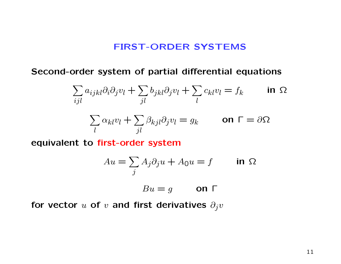#### FIRST-ORDER SYSTEMS

Second-order system of partial differential equations

$$
\sum_{ijl} a_{ijkl} \partial_i \partial_j v_l + \sum_{jl} b_{jkl} \partial_j v_l + \sum_l c_{kl} v_l = f_k \qquad \text{in } \Omega
$$

$$
\sum \alpha_{kl} v_l + \sum \beta_{kjl} \partial_j v_l = g_k \qquad \text{on } \Gamma = \partial \Omega
$$

equivalent to first-order system

l

$$
Au = \sum_{j} A_j \partial_j u + A_0 u = f \qquad \text{in } \Omega
$$

$$
Bu = g \qquad \text{on } \Gamma
$$

for vector u of v and first derivatives  $\partial_j v$ 

 $j\bar l$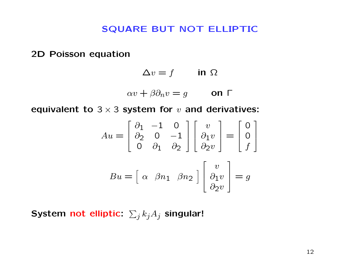#### SQUARE BUT NOT ELLIPTIC

2D Poisson equation

$$
\Delta v = f \qquad \text{in } \Omega
$$

$$
\alpha v + \beta \partial_n v = g \qquad \text{on } \Gamma
$$

equivalent to  $3 \times 3$  system for  $v$  and derivatives:

$$
Au = \begin{bmatrix} \partial_1 & -1 & 0 \\ \partial_2 & 0 & -1 \\ 0 & \partial_1 & \partial_2 \end{bmatrix} \begin{bmatrix} v \\ \partial_1 v \\ \partial_2 v \end{bmatrix} = \begin{bmatrix} 0 \\ 0 \\ f \end{bmatrix}
$$

$$
Bu = \begin{bmatrix} \alpha & \beta n_1 & \beta n_2 \end{bmatrix} \begin{bmatrix} v \\ \partial_1 v \\ \partial_2 v \end{bmatrix} = g
$$

System not elliptic:  $\sum_j k_j A_j$  singular!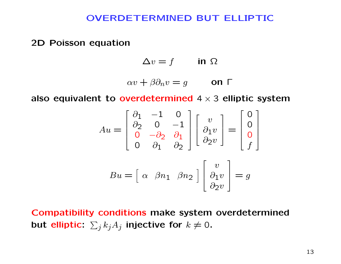#### OVERDETERMINED BUT ELLIPTIC

2D Poisson equation

 $\Delta v = f$  in  $\Omega$ 

$$
\alpha v + \beta \partial_n v = g \qquad \text{on } \Gamma
$$

also equivalent to overdetermined  $4 \times 3$  elliptic system

$$
Au = \begin{bmatrix} \partial_1 & -1 & 0 \\ \partial_2 & 0 & -1 \\ 0 & -\partial_2 & \partial_1 \\ 0 & \partial_1 & \partial_2 \end{bmatrix} \begin{bmatrix} v \\ \partial_1 v \\ \partial_2 v \end{bmatrix} = \begin{bmatrix} 0 \\ 0 \\ 0 \\ f \end{bmatrix}
$$

$$
Bu = \begin{bmatrix} \alpha & \beta n_1 & \beta n_2 \end{bmatrix} \begin{bmatrix} v \\ \partial_1 v \\ \partial_2 v \end{bmatrix} = g
$$

Compatibility conditions make system overdetermined but elliptic:  $\sum_j k_j A_j$  injective for  $k\neq 0$ .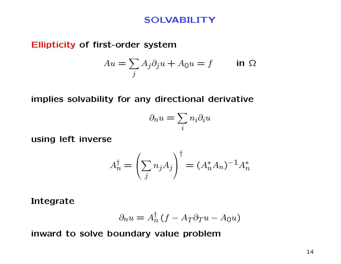## SOLVABILITY

#### Ellipticity of first-order system

$$
Au = \sum_{j} A_j \partial_j u + A_0 u = f \qquad \text{in } \Omega
$$

implies solvability for any directional derivative

$$
\partial_n u = \sum_i n_i \partial_i u
$$

using left inverse

$$
A_n^{\dagger} = \left(\sum_j n_j A_j\right)^{\dagger} = (A_n^* A_n)^{-1} A_n^*
$$

Integrate

$$
\partial_n u = A_n^{\dagger} \left( f - A_T \partial_T u - A_0 u \right)
$$

inward to solve boundary value problem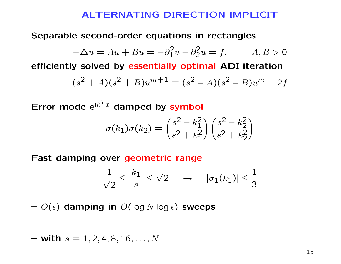#### ALTERNATING DIRECTION IMPLICIT

Separable second-order equations in rectangles

$$
-\Delta u = Au + Bu = -\partial_1^2 u - \partial_2^2 u = f, \qquad A, B > 0
$$

efficiently solved by essentially optimal ADI iteration

$$
(s2 + A)(s2 + B)um+1 = (s2 – A)(s2 – B)um + 2f
$$

Error mode  $e^{ik^T x}$  damped by symbol

$$
\sigma(k_1)\sigma(k_2) = \left(\frac{s^2 - k_1^2}{s^2 + k_1^2}\right) \left(\frac{s^2 - k_2^2}{s^2 + k_2^2}\right)
$$

Fast damping over geometric range

$$
\frac{1}{\sqrt{2}} \le \frac{|k_1|}{s} \le \sqrt{2} \quad \rightarrow \quad |\sigma_1(k_1)| \le \frac{1}{3}
$$

 $- O(\epsilon)$  damping in  $O(\log N \log \epsilon)$  sweeps

$$
- with s = 1, 2, 4, 8, 16, \ldots, N
$$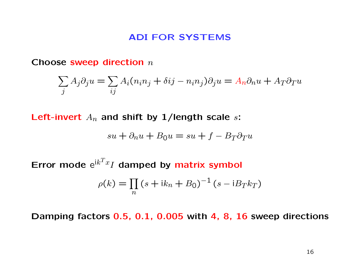#### ADI FOR SYSTEMS

Choose sweep direction  $n$ 

$$
\sum_{j} A_j \partial_j u = \sum_{ij} A_i (n_i n_j + \delta i j - n_i n_j) \partial_j u = A_n \partial_n u + A_T \partial_T u
$$

Left-invert  $A_n$  and shift by 1/length scale s:

$$
su + \partial_n u + B_0 u = su + f - B_T \partial_T u
$$

Error mode  $e^{ik^T x} I$  damped by matrix symbol

$$
\rho(k) = \prod_{n} (s + ik_n + B_0)^{-1} (s - iB_T k_T)
$$

Damping factors 0.5, 0.1, 0.005 with 4, 8, 16 sweep directions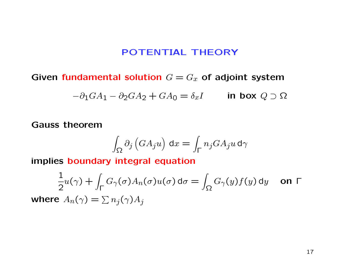## POTENTIAL THEORY

Given fundamental solution  $G = G_x$  of adjoint system

$$
-\partial_1 GA_1 - \partial_2 GA_2 + GA_0 = \delta_x I \qquad \text{in box } Q \supset \Omega
$$

Gauss theorem

$$
\int_{\Omega}\partial_j\left(GA_ju\right)\,\mathrm{d}x=\int_{\Gamma}n_jGA_ju\,\mathrm{d}\gamma
$$

implies boundary integral equation

$$
\frac{1}{2}u(\gamma) + \int_{\Gamma} G_{\gamma}(\sigma)A_{n}(\sigma)u(\sigma) d\sigma = \int_{\Omega} G_{\gamma}(y)f(y) dy \quad \text{on } \Gamma
$$
  
where  $A_{n}(\gamma) = \sum n_{j}(\gamma)A_{j}$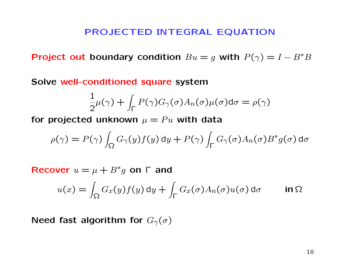#### PROJECTED INTEGRAL EQUATION

Project out boundary condition  $Bu = g$  with  $P(\gamma) = I - B^*B$ 

Solve well-conditioned square system

$$
\frac{1}{2}\mu(\gamma) + \int_{\Gamma} P(\gamma)G_{\gamma}(\sigma)A_{n}(\sigma)\mu(\sigma)d\sigma = \rho(\gamma)
$$

for projected unknown  $\mu = Pu$  with data

$$
\rho(\gamma) = P(\gamma) \int_{\Omega} G_{\gamma}(y) f(y) dy + P(\gamma) \int_{\Gamma} G_{\gamma}(\sigma) A_n(\sigma) B^* g(\sigma) d\sigma
$$

Recover  $u = \mu + B^*g$  on  $\Gamma$  and

$$
u(x) = \int_{\Omega} G_x(y) f(y) dy + \int_{\Gamma} G_x(\sigma) A_n(\sigma) u(\sigma) d\sigma \qquad \text{in } \Omega
$$

Need fast algorithm for  $G_{\gamma}(\sigma)$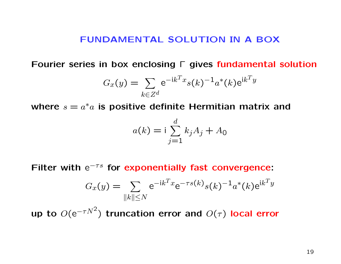#### FUNDAMENTAL SOLUTION IN A BOX

Fourier series in box enclosing Γ gives fundamental solution

$$
G_x(y) = \sum_{k \in Z^d} e^{-ik^T x} s(k)^{-1} a^*(k) e^{ik^T y}
$$

where  $s = a^*a$  is positive definite Hermitian matrix and

$$
a(k) = i \sum_{j=1}^{d} k_j A_j + A_0
$$

Filter with  $e^{-\tau s}$  for exponentially fast convergence:

$$
G_x(y) = \sum_{\|k\| \le N} e^{-ik^T x} e^{-\tau s(k)} s(k)^{-1} a^*(k) e^{ik^T y}
$$

up to  $O(e^{-\tau N^2})$  truncation error and  $O(\tau)$  local error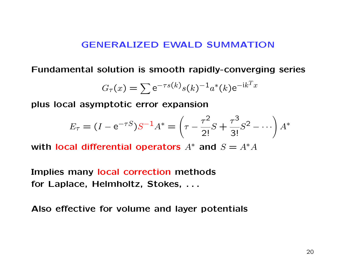#### GENERALIZED EWALD SUMMATION

Fundamental solution is smooth rapidly-converging series

$$
G_{\tau}(x) = \sum e^{-\tau s(k)} s(k)^{-1} a^*(k) e^{-ik^T x}
$$

plus local asymptotic error expansion

$$
E_{\tau} = (I - e^{-\tau S})S^{-1}A^* = \left(\tau - \frac{\tau^2}{2!}S + \frac{\tau^3}{3!}S^2 - \cdots\right)A^*
$$

with local differential operators  $A^*$  and  $S = A^*A$ 

Implies many local correction methods for Laplace, Helmholtz, Stokes, . . .

Also effective for volume and layer potentials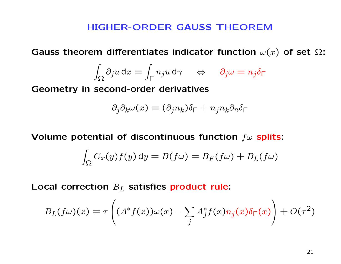## HIGHER-ORDER GAUSS THEOREM

Gauss theorem differentiates indicator function  $\omega(x)$  of set  $\Omega$ :

$$
\int_{\Omega}\partial_j u\,\mathrm{d} x=\int_{\Gamma}n_j u\,\mathrm{d}\gamma\quad\Leftrightarrow\quad \partial_j\omega=n_j\delta_{\Gamma}
$$

Geometry in second-order derivatives

$$
\partial_j \partial_k \omega(x) = (\partial_j n_k) \delta_{\Gamma} + n_j n_k \partial_n \delta_{\Gamma}
$$

Volume potential of discontinuous function  $f\omega$  splits:

$$
\int_{\Omega} G_x(y) f(y) \, dy = B(f\omega) = B_F(f\omega) + B_L(f\omega)
$$

Local correction  $B_L$  satisfies product rule:

$$
B_L(f\omega)(x) = \tau \left( (A^*f(x))\omega(x) - \sum_j A_j^* f(x) n_j(x) \delta_\Gamma(x) \right) + O(\tau^2)
$$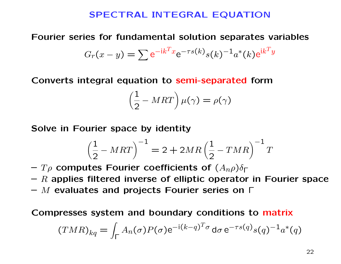#### SPECTRAL INTEGRAL EQUATION

## Fourier series for fundamental solution separates variables

$$
G_r(x - y) = \sum e^{-ik^T x} e^{-\tau s(k)} s(k)^{-1} a^*(k) e^{ik^T y}
$$

Converts integral equation to semi-separated form

$$
\left(\frac{1}{2} - MRT\right)\mu(\gamma) = \rho(\gamma)
$$

Solve in Fourier space by identity

$$
\left(\frac{1}{2} - MRT\right)^{-1} = 2 + 2MR\left(\frac{1}{2} - TMR\right)^{-1}T
$$

 $-T\rho$  computes Fourier coefficients of  $(A_{n}\rho)\delta_{\Gamma}$ 

 $- R$  applies filtered inverse of elliptic operator in Fourier space

 $-$  M evaluates and projects Fourier series on  $\Gamma$ 

Compresses system and boundary conditions to matrix

$$
(TMR)_{kq} = \int_{\Gamma} A_n(\sigma) P(\sigma) e^{-i(k-q)^T \sigma} d\sigma e^{-\tau s(q)} s(q)^{-1} a^*(q)
$$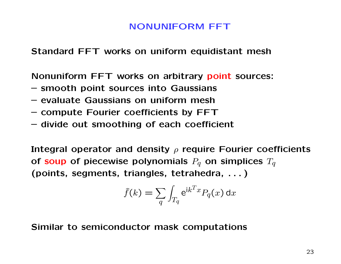## NONUNIFORM FFT

Standard FFT works on uniform equidistant mesh

Nonuniform FFT works on arbitrary point sources:

- smooth point sources into Gaussians
- evaluate Gaussians on uniform mesh
- compute Fourier coefficients by FFT
- divide out smoothing of each coefficient

Integral operator and density  $\rho$  require Fourier coefficients of soup of piecewise polynomials  $P_q$  on simplices  $T_q$ (points, segments, triangles, tetrahedra, . . . )

$$
\widehat{f}(k) = \sum_{q} \int_{T_q} e^{ik^T x} P_q(x) \, dx
$$

Similar to semiconductor mask computations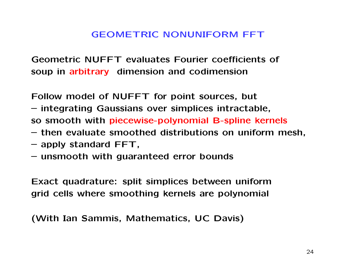## GEOMETRIC NONUNIFORM FFT

Geometric NUFFT evaluates Fourier coefficients of soup in arbitrary dimension and codimension

Follow model of NUFFT for point sources, but

– integrating Gaussians over simplices intractable, so smooth with piecewise-polynomial B-spline kernels

- then evaluate smoothed distributions on uniform mesh,
- apply standard FFT,
- unsmooth with guaranteed error bounds

Exact quadrature: split simplices between uniform grid cells where smoothing kernels are polynomial

(With Ian Sammis, Mathematics, UC Davis)